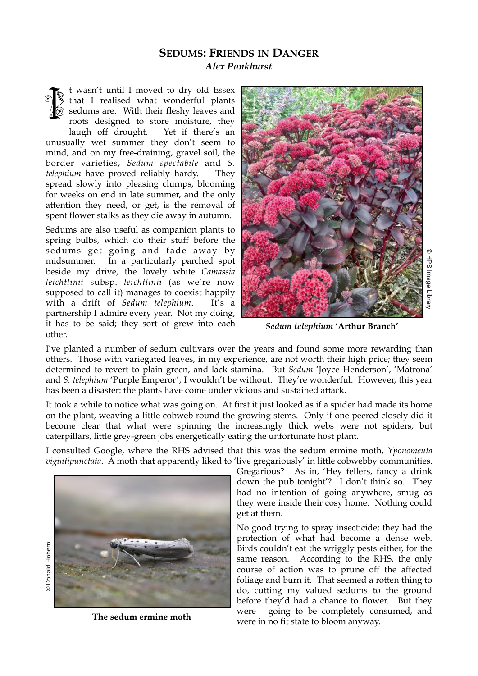## **SEDUMS: FRIENDS IN DANGER**  *Alex Pankhurst*

t wasn't until I moved to dry old Essex that I realised what wonderful plants sedums are. With their fleshy leaves and roots designed to store moisture, they laugh off drought. Yet if there's an unusually wet summer they don't seem to mind, and on my free-draining, gravel soil, the border varieties, *Sedum spectabile* and *S. telephium* have proved reliably hardy. They spread slowly into pleasing clumps, blooming for weeks on end in late summer, and the only attention they need, or get, is the removal of spent flower stalks as they die away in autumn. **ISSUE** 

Sedums are also useful as companion plants to spring bulbs, which do their stuff before the sedums get going and fade away by midsummer. In a particularly parched spot beside my drive, the lovely white *Camassia leichtlinii* subsp. *leichtlinii* (as we're now supposed to call it) manages to coexist happily with a drift of *Sedum telephium*. It's a partnership I admire every year. Not my doing, it has to be said; they sort of grew into each other.



*Sedum telephium* **'Arthur Branch'**

I've planted a number of sedum cultivars over the years and found some more rewarding than others. Those with variegated leaves, in my experience, are not worth their high price; they seem determined to revert to plain green, and lack stamina. But *Sedum* 'Joyce Henderson', 'Matrona' and *S. telephium* 'Purple Emperor', I wouldn't be without. They're wonderful. However, this year has been a disaster: the plants have come under vicious and sustained attack.

It took a while to notice what was going on. At first it just looked as if a spider had made its home on the plant, weaving a little cobweb round the growing stems. Only if one peered closely did it become clear that what were spinning the increasingly thick webs were not spiders, but caterpillars, little grey-green jobs energetically eating the unfortunate host plant.

I consulted Google, where the RHS advised that this was the sedum ermine moth, *Yponomeuta vigintipunctata*. A moth that apparently liked to 'live gregariously' in little cobwebby communities.



**The sedum ermine moth**

Gregarious? As in, 'Hey fellers, fancy a drink down the pub tonight'? I don't think so. They had no intention of going anywhere, smug as they were inside their cosy home. Nothing could get at them.

No good trying to spray insecticide; they had the protection of what had become a dense web. Birds couldn't eat the wriggly pests either, for the same reason. According to the RHS, the only course of action was to prune off the affected foliage and burn it. That seemed a rotten thing to do, cutting my valued sedums to the ground before they'd had a chance to flower. But they were going to be completely consumed, and were in no fit state to bloom anyway.